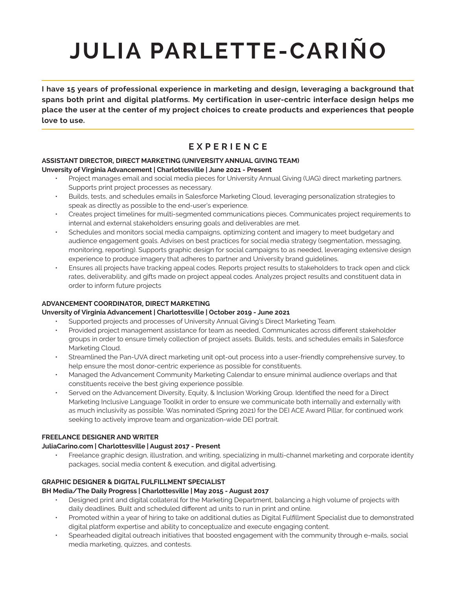# **JULIA PARLETTE-CARIÑO**

**I have 15 years of professional experience in marketing and design, leveraging a background that spans both print and digital platforms. My certification in user-centric interface design helps me place the user at the center of my project choices to create products and experiences that people love to use.** 

## **EXPERIENCE**

#### **ASSISTANT DIRECTOR, DIRECT MARKETING (UNIVERSITY ANNUAL GIVING TEAM) Unversity of Virginia Advancement | Charlottesville | June 2021 - Present**

- Project manages email and social media pieces for University Annual Giving (UAG) direct marketing partners. Supports print project processes as necessary.
- Builds, tests, and schedules emails in Salesforce Marketing Cloud, leveraging personalization strategies to speak as directly as possible to the end-user's experience.
- Creates project timelines for multi-segmented communications pieces. Communicates project requirements to internal and external stakeholders ensuring goals and deliverables are met.
- Schedules and monitors social media campaigns, optimizing content and imagery to meet budgetary and audience engagement goals. Advises on best practices for social media strategy (segmentation, messaging, monitoring, reporting). Supports graphic design for social campaigns to as needed, leveraging extensive design experience to produce imagery that adheres to partner and University brand guidelines.
- Ensures all projects have tracking appeal codes. Reports project results to stakeholders to track open and click rates, deliverability, and gifts made on project appeal codes. Analyzes project results and constituent data in order to inform future projects

#### **ADVANCEMENT COORDINATOR, DIRECT MARKETING**

#### **Unversity of Virginia Advancement | Charlottesville | October 2019 - June 2021**

- Supported projects and processes of University Annual Giving's Direct Marketing Team.
- Provided project management assistance for team as needed, Communicates across different stakeholder groups in order to ensure timely collection of project assets. Builds, tests, and schedules emails in Salesforce Marketing Cloud.
- Streamlined the Pan-UVA direct marketing unit opt-out process into a user-friendly comprehensive survey, to help ensure the most donor-centric experience as possible for constituents.
- Managed the Advancement Community Marketing Calendar to ensure minimal audience overlaps and that constituents receive the best giving experience possible.
- Served on the Advancement Diversity, Equity, & Inclusion Working Group. Identified the need for a Direct Marketing Inclusive Language Toolkit in order to ensure we communicate both internally and externally with as much inclusivity as possible. Was nominated (Spring 2021) for the DEI ACE Award Pillar, for continued work seeking to actively improve team and organization-wide DEI portrait.

#### **FREELANCE DESIGNER AND WRITER**

#### **JuliaCarino.com | Charlottesville | August 2017 - Present**

• Freelance graphic design, illustration, and writing, specializing in multi-channel marketing and corporate identity packages, social media content & execution, and digital advertising.

#### **GRAPHIC DESIGNER & DIGITAL FULFILLMENT SPECIALIST**

#### **BH Media/The Daily Progress | Charlottesville | May 2015 - August 2017**

- Designed print and digital collateral for the Marketing Department, balancing a high volume of projects with daily deadlines. Built and scheduled different ad units to run in print and online.
- Promoted within a year of hiring to take on additional duties as Digital Fulfillment Specialist due to demonstrated digital platform expertise and ability to conceptualize and execute engaging content.
- Spearheaded digital outreach initiatives that boosted engagement with the community through e-mails, social media marketing, quizzes, and contests.